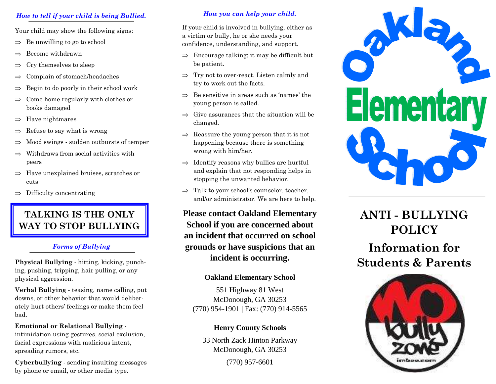# *How to tell if your child is being Bullied.*

Your child may show the following signs:

- ⇒Be unwilling to go to school
- ⇒Become withdrawn
- ⇒Cry themselves to sleep
- ⇒Complain of stomach/headaches
- ⇒Begin to do poorly in their school work
- ⇒ Come home regularly with clothes or books damaged
- ⇒Have nightmares
- ⇒Refuse to say what is wrong
- ⇒Mood swings - sudden outbursts of temper
- ⇒ Withdraws from social activities with peers
- ⇒ Have unexplained bruises, scratches or cuts
- $\Rightarrow$  Difficulty concentrating

# **TALKING IS THE ONLY WAY TO STOP BULLYING**

## *Forms of Bullying*

**Physical Bullying** - hitting, kicking, punching, pushing, tripping, hair pulling, or any physical aggression.

**Verbal Bullying** - teasing, name calling, put downs, or other behavior that would deliberately hurt others' feelings or make them feel bad.

### **Emotional or Relational Bullying** -

intimidation using gestures, social exclusion, facial expressions with malicious intent, spreading rumors, etc.

**Cyberbullying** - sending insulting messages by phone or email, or other media type.

## *How you can help your child.*

If your child is involved in bullying, either as a victim or bully, he or she needs your confidence, understanding, and support.

- $\Rightarrow$  Encourage talking; it may be difficult but be patient.
- $\Rightarrow$  Try not to over-react. Listen calmly and<br>two to work out the facts try to work out the facts.
- $\Rightarrow$  Be sensitive in areas such as 'names' the young person is called.
- $\Rightarrow$  Give assurances that the situation will be aboveed changed.
- $\Rightarrow$  Reassure the young person that it is not<br>happening because there is compthing happening because there is something wrong with him/her.
- $\Rightarrow$  Identify reasons why bullies are hurtful<br>card evolving that not reasonating helpe in and explain that not responding helps in stopping the unwanted behavior.
- $\Rightarrow$  Talk to your school's counselor, teacher, and/or administrator. We are here to help.

**Please contact Oakland Elementary School if you are concerned about an incident that occurred on school grounds or have suspicions that an incident is occurring.** 

# **Oakland Elementary School**

551 Highway 81 West McDonough, GA 30253 (770) 954-1901 | Fax: (770) 914-5565

# **Henry County Schools**

33 North Zack Hinton Parkway McDonough, GA 30253 (770) 957-6601



# **ANTI - BULLYING POLICY**

# **Information for Students & Parents**